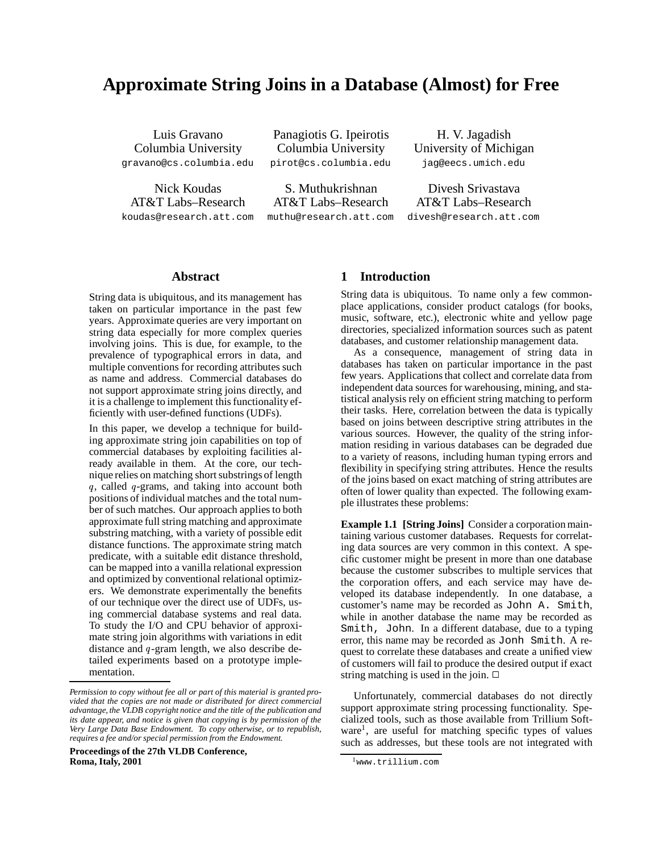# **Approximate String Joins in a Database (Almost) for Free**

gravano@cs.columbia.edu pirot@cs.columbia.edu jag@eecs.umich.edu

koudas@research.att.com muthu@research.att.com divesh@research.att.com

Luis Gravano Panagiotis G. Ipeirotis H. V. Jagadish Columbia University Columbia University University of Michigan

Nick Koudas S. Muthukrishnan Divesh Srivastava AT&T Labs–Research AT&T Labs–Research AT&T Labs–Research

### **Abstract**

String data is ubiquitous, and its management has taken on particular importance in the past few years. Approximate queries are very important on string data especially for more complex queries involving joins. This is due, for example, to the prevalence of typographical errors in data, and multiple conventions for recording attributes such as name and address. Commercial databases do not support approximate string joins directly, and it is a challenge to implement this functionality efficiently with user-defined functions (UDFs).

In this paper, we develop a technique for building approximate string join capabilities on top of commercial databases by exploiting facilities already available in them. At the core, our technique relies on matching short substrings of length q, called q-grams, and taking into account both positions of individual matches and the total number of such matches. Our approach applies to both approximate full string matching and approximate substring matching, with a variety of possible edit distance functions. The approximate string match predicate, with a suitable edit distance threshold, can be mapped into a vanilla relational expression and optimized by conventional relational optimizers. We demonstrate experimentally the benefits of our technique over the direct use of UDFs, using commercial database systems and real data. To study the I/O and CPU behavior of approximate string join algorithms with variations in edit distance and  $q$ -gram length, we also describe detailed experiments based on a prototype implementation.

**Proceedings of the 27th VLDB Conference, Roma, Italy, 2001**

# **1 Introduction**

String data is ubiquitous. To name only a few commonplace applications, consider product catalogs (for books, music, software, etc.), electronic white and yellow page directories, specialized information sources such as patent databases, and customer relationship management data.

As a consequence, management of string data in databases has taken on particular importance in the past few years. Applications that collect and correlate data from independent data sources for warehousing, mining, and statistical analysis rely on efficient string matching to perform their tasks. Here, correlation between the data is typically based on joins between descriptive string attributes in the various sources. However, the quality of the string information residing in various databases can be degraded due to a variety of reasons, including human typing errors and flexibility in specifying string attributes. Hence the results of the joins based on exact matching of string attributes are often of lower quality than expected. The following example illustrates these problems:

**Example 1.1 [String Joins]** Consider a corporationmaintaining various customer databases. Requests for correlating data sources are very common in this context. A specific customer might be present in more than one database because the customer subscribes to multiple services that the corporation offers, and each service may have developed its database independently. In one database, a customer's name may be recorded as John A. Smith, while in another database the name may be recorded as Smith, John. In a different database, due to a typing error, this name may be recorded as Jonh Smith. A request to correlate these databases and create a unified view of customers will fail to produce the desired output if exact string matching is used in the join.  $\Box$ 

Unfortunately, commercial databases do not directly support approximate string processing functionality. Specialized tools, such as those available from Trillium Software<sup>1</sup>, are useful for matching specific types of values such as addresses, but these tools are not integrated with

*Permission to copy without fee all or part of this material is granted provided that the copies are not made or distributed for direct commercial advantage, the VLDB copyright notice and the title of the publication and its date appear, and notice is given that copying is by permission of the Very Large Data Base Endowment. To copy otherwise, or to republish, requires a fee and/or special permission from the Endowment.*

<sup>&</sup>lt;sup>1</sup>www.trillium.com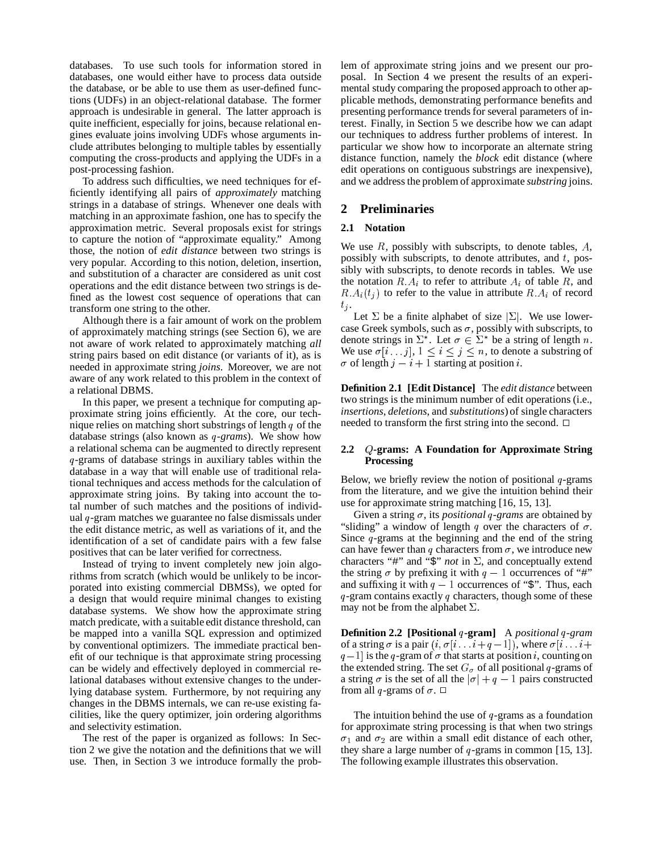databases. To use such tools for information stored in databases, one would either have to process data outside the database, or be able to use them as user-defined functions (UDFs) in an object-relational database. The former approach is undesirable in general. The latter approach is quite inefficient, especially for joins, because relational engines evaluate joins involving UDFs whose arguments include attributes belonging to multiple tables by essentially computing the cross-products and applying the UDFs in a post-processing fashion.

To address such difficulties, we need techniques for efficiently identifying all pairs of *approximately* matching strings in a database of strings. Whenever one deals with matching in an approximate fashion, one has to specify the approximation metric. Several proposals exist for strings to capture the notion of "approximate equality." Among those, the notion of *edit distance* between two strings is very popular. According to this notion, deletion, insertion, and substitution of a character are considered as unit cost operations and the edit distance between two strings is defined as the lowest cost sequence of operations that can transform one string to the other.

Although there is a fair amount of work on the problem of approximately matching strings (see Section 6), we are not aware of work related to approximately matching *all* string pairs based on edit distance (or variants of it), as is needed in approximate string *joins*. Moreover, we are not aware of any work related to this problem in the context of a relational DBMS.

In this paper, we present a technique for computing approximate string joins efficiently. At the core, our technique relies on matching short substrings of length  $q$  of the database strings (also known as q-grams). We show how a relational schema can be augmented to directly represent -grams of database strings in auxiliary tables within the database in a way that will enable use of traditional relational techniques and access methods for the calculation of approximate string joins. By taking into account the total number of such matches and the positions of individual  $q$ -gram matches we guarantee no false dismissals under the edit distance metric, as well as variations of it, and the identification of a set of candidate pairs with a few false positives that can be later verified for correctness.

Instead of trying to invent completely new join algorithms from scratch (which would be unlikely to be incorporated into existing commercial DBMSs), we opted for a design that would require minimal changes to existing database systems. We show how the approximate string match predicate, with a suitable edit distance threshold, can be mapped into a vanilla SQL expression and optimized by conventional optimizers. The immediate practical benefit of our technique is that approximate string processing can be widely and effectively deployed in commercial relational databases without extensive changes to the underlying database system. Furthermore, by not requiring any changes in the DBMS internals, we can re-use existing facilities, like the query optimizer, join ordering algorithms and selectivity estimation.

The rest of the paper is organized as follows: In Section 2 we give the notation and the definitions that we will use. Then, in Section 3 we introduce formally the problem of approximate string joins and we present our proposal. In Section 4 we present the results of an experimental study comparing the proposed approach to other applicable methods, demonstrating performance benefits and presenting performance trends for several parameters of interest. Finally, in Section 5 we describe how we can adapt our techniques to address further problems of interest. In particular we show how to incorporate an alternate string distance function, namely the *block* edit distance (where edit operations on contiguous substrings are inexpensive), and we address the problem of approximate *substring* joins.

# **2 Preliminaries**

### **2.1 Notation**

We use  $R$ , possibly with subscripts, to denote tables,  $A$ , possibly with subscripts, to denote attributes, and  $t$ , possibly with subscripts, to denote records in tables. We use the notation  $R.A_i$  to refer to attribute  $A_i$  of table R, and  $R.A_i(t_i)$  to refer to the value in attribute  $R.A_i$  of record  $t_j$ .

Let  $\Sigma$  be a finite alphabet of size  $\Sigma$ . We use lowercase Greek symbols, such as  $\sigma$ , possibly with subscripts, to denote strings in  $\Sigma^*$ . Let  $\sigma \in \Sigma^*$  be a string of length n. We use  $\sigma[i \dots j]$ ,  $1 \le i \le j \le n$ , to denote a substring of  $\sigma$  of length  $j - i + 1$  starting at position *i*.

**Definition 2.1 [Edit Distance]** The *edit distance* between two strings is the minimum number of edit operations (i.e., *insertions*, *deletions*, and *substitutions*) of single characters needed to transform the first string into the second.  $\Box$ 

# **2.2** (**-grams: A Foundation for Approximate String Processing**

Below, we briefly review the notion of positional  $q$ -grams from the literature, and we give the intuition behind their use for approximate string matching [16, 15, 13].

Given a string  $\sigma$ , its *positional* q-grams are obtained by "sliding" a window of length q over the characters of  $\sigma$ . Since  $q$ -grams at the beginning and the end of the string can have fewer than q characters from  $\sigma$ , we introduce new characters "#" and " $\hat{\varsigma}$ " *not* in  $\Sigma$ , and conceptually extend the string  $\sigma$  by prefixing it with  $q-1$  occurrences of "#" and suffixing it with  $q-1$  occurrences of "\$". Thus, each  $q$ -gram contains exactly  $q$  characters, though some of these may not be from the alphabet  $\Sigma$ .

**Definition 2.2 [Positional -gram]** A *positional -gram* of a string  $\sigma$  is a pair  $(i, \sigma[i \dots i+q-1])$ , where  $\sigma[i \dots i+q$  $q-1$  is the q-gram of  $\sigma$  that starts at position *i*, counting on the extended string. The set  $G_{\sigma}$  of all positional q-grams of a string  $\sigma$  is the set of all the  $|\sigma| + q - 1$  pairs constructed from all q-grams of  $\sigma$ .  $\Box$ 

The intuition behind the use of  $q$ -grams as a foundation for approximate string processing is that when two strings  $\sigma_1$  and  $\sigma_2$  are within a small edit distance of each other, they share a large number of  $q$ -grams in common [15, 13]. The following example illustrates this observation.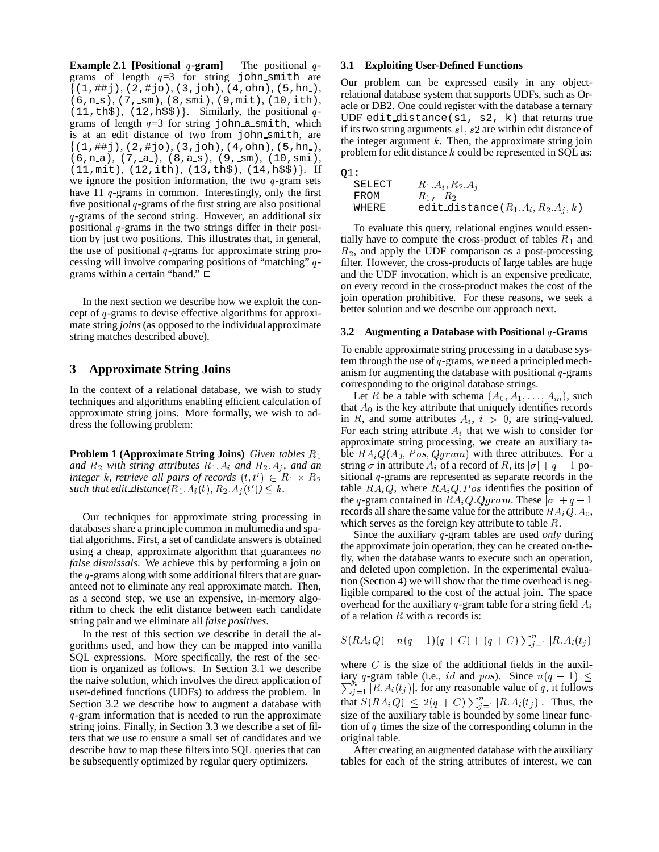**Example 2.1 [Positional -gram**] The positional q - 3.1 grams of length  $q=3$  for string john\_smith are (1,##j), (2,#jo), (3,joh), (4,ohn), (5,hn ), (6,n s), (7, sm), (8,smi), (9,mit), (10,ith), (11, th\$), (12, h\$\$). Similarly, the positional  $q - \frac{dG}{dT}$ grams of length  $q=3$  for string john a smith, which is at an edit distance of two from john smith, are (1,##j), (2,#jo), (3,joh), (4,ohn), (5,hn ), (6,n\_a), (7,\_a\_), (8,a\_s), (9,\_sm), (10,smi), (11,mit), (12,ith), (13,th\$), (14,h\$\$) . If we ignore the position information, the two  $q$ -gram sets have 11  $q$ -grams in common. Interestingly, only the first five positional  $q$ -grams of the first string are also positional  $q$ -grams of the second string. However, an additional six positional  $q$ -grams in the two strings differ in their position by just two positions. This illustrates that, in general, the use of positional  $q$ -grams for approximate string processing will involve comparing positions of "matching"  $q$ - filt grams within a certain "band."  $\Box$ 

In the next section we describe how we exploit the concept of  $q$ -grams to devise effective algorithms for approximate string *joins* (as opposed to the individual approximate string matches described above).

# **3 Approximate String Joins**

In the context of a relational database, we wish to study techniques and algorithms enabling efficient calculation of approximate string joins. More formally, we wish to address the following problem:

**Problem 1 (Approximate String Joins)** *Given tables* and  $R_2$  with string attributes  $R_1$   $A_i$  and  $R_2$   $A_j$ , and an  $integer k$ , *retrieve* all pairs of records  $(t, t') \in R_1 \times R_2$  sitic such that edit distance( $R_1$ ,  $A_i(t)$ ,  $R_2$ ,  $A_j(t')$ )  $\leq k$ .

Our techniques for approximate string processing in databases share a principle common in multimedia and spatial algorithms. First, a set of candidate answers is obtained using a cheap, approximate algorithm that guarantees *no false dismissals*. We achieve this by performing a join on the  $q$ -grams along with some additional filters that are guaranteed not to eliminate any real approximate match. Then, as a second step, we use an expensive, in-memory algorithm to check the edit distance between each candidate string pair and we eliminate all *false positives*.

In the rest of this section we describe in detail the algorithms used, and how they can be mapped into vanilla SQL expressions. More specifically, the rest of the section is organized as follows. In Section 3.1 we describe the naive solution, which involves the direct application of user-defined functions (UDFs) to address the problem. In Section 3.2 we describe how to augment a database with q-gram information that is needed to run the approximate string joins. Finally, in Section 3.3 we describe a set of filters that we use to ensure a small set of candidates and we describe how to map these filters into SQL queries that can be subsequently optimized by regular query optimizers.

### **3.1 Exploiting User-Defined Functions**

Our problem can be expressed easily in any objectrelational database system that supports UDFs, such as Oracle or DB2. One could register with the database a ternary UDF edit distance(s1, s2, k) that returns true if its two string arguments  $s1, s2$  are within edit distance of the integer argument  $k$ . Then, the approximate string join problem for edit distance  $k$  could be represented in SQL as:

| O1:    |                                       |
|--------|---------------------------------------|
| SELECT | $R_1.A_i, R_2.A_i$                    |
| FROM   | $R_1, R_2$                            |
| WHERE  | edit distance $(R_1.A_i, R_2.A_i, k)$ |

To evaluate this query, relational engines would essentially have to compute the cross-product of tables  $R_1$  and  $R_2$ , and apply the UDF comparison as a post-processing filter. However, the cross-products of large tables are huge and the UDF invocation, which is an expensive predicate, on every record in the cross-product makes the cost of the join operation prohibitive. For these reasons, we seek a better solution and we describe our approach next.

#### **3.2 Augmenting a Database with Positional -Grams**

To enable approximate string processing in a database system through the use of  $q$ -grams, we need a principled mechanism for augmenting the database with positional  $q$ -grams corresponding to the original database strings.

ble  $RA_iQ(A_0, Pos, Qgram)$  with three attributes. For a  $1 \times R_2$  sitional q-grams are represented as separate records in the Let R be a table with schema  $(A_0, A_1, \ldots, A_m)$ , such that  $A_0$  is the key attribute that uniquely identifies records in R, and some attributes  $A_i$ ,  $i > 0$ , are string-valued. For each string attribute  $A_i$  that we wish to consider for approximate string processing, we create an auxiliary tastring  $\sigma$  in attribute  $A_i$  of a record of R, its  $|\sigma| + q - 1$  potable  $RA_iQ$ , where  $RA_iQ.P$  os identifies the position of the q-gram contained in  $RA_iQ.Qgram$ . These  $|\sigma| + q - 1$ records all share the same value for the attribute  $RA_iQ.A_0$ , which serves as the foreign key attribute to table  $R$ .

Since the auxiliary q-gram tables are used *only* during the approximate join operation, they can be created on-thefly, when the database wants to execute such an operation, and deleted upon completion. In the experimental evaluation (Section 4) we will show that the time overhead is negligible compared to the cost of the actual join. The space overhead for the auxiliary q-gram table for a string field  $A_i$ of a relation  $R$  with  $n$  records is:

$$
S(RA_iQ) = n(q-1)(q+C) + (q+C)\sum_{j=1}^{n} |R.A_i(t_j)|
$$

where  $C$  is the size of the additional fields in the auxiliary q-gram table (i.e., id and  $pos$ ). Since  $n(q - 1) \leq$  $\sum_{i=1}^{n} |R.A_i(t_i)|$ , for any reasonable value of q, it follows that  $S(RA_i Q) \leq 2(q + C) \sum_{i=1}^n |R.A_i(t_i)|$ . Thus, the size of the auxiliary table is bounded by some linear function of  $q$  times the size of the corresponding column in the original table.

After creating an augmented database with the auxiliary tables for each of the string attributes of interest, we can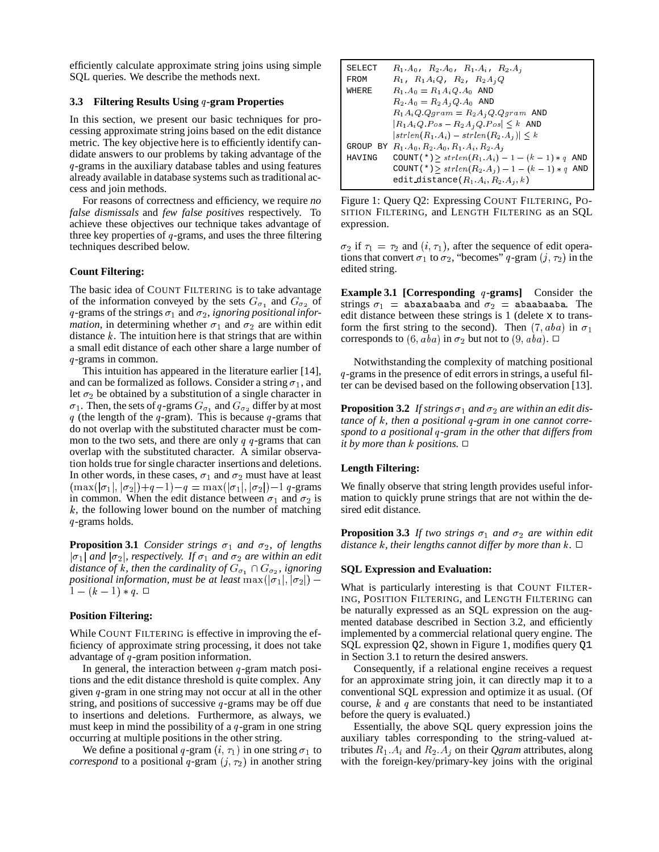efficiently calculate approximate string joins using simple SQL queries. We describe the methods next.

### **3.3 Filtering Results Using -gram Properties**

In this section, we present our basic techniques for processing approximate string joins based on the edit distance metric. The key objective here is to efficiently identify candidate answers to our problems by taking advantage of the -grams in the auxiliary database tables and using features already available in database systems such as traditional access and join methods.

For reasons of correctness and efficiency, we require *no false dismissals* and *few false positives* respectively. To achieve these objectives our technique takes advantage of three key properties of  $q$ -grams, and uses the three filtering techniques described below.

### **Count Filtering:**

The basic idea of COUNT FILTERING is to take advantage of the information conveyed by the sets  $G_{\sigma_1}$  and  $G_{\sigma_2}$  of  $q$ -grams of the strings  $\sigma_1$  and  $\sigma_2$ , *ignoring positional information*, in determining whether  $\sigma_1$  and  $\sigma_2$  are within edit distance  $k$ . The intuition here is that strings that are within a small edit distance of each other share a large number of -grams in common.

This intuition has appeared in the literature earlier [14], and can be formalized as follows. Consider a string  $\sigma_1$ , and let  $\sigma_2$  be obtained by a substitution of a single character in  $\sigma_1$ . Then, the sets of q-grams  $G_{\sigma_1}$  and  $G_{\sigma_2}$  differ by at most q (the length of the q-gram). This is because q-grams that do not overlap with the substituted character must be common to the two sets, and there are only  $q \, q$ -grams that can overlap with the substituted character. A similar observation holds true for single character insertions and deletions. In other words, in these cases,  $\sigma_1$  and  $\sigma_2$  must have at least  $(\max(|\sigma_1|,|\sigma_2|)+q-1)-q = \max(|\sigma_1|,|\sigma_2|)-1$  q-grams in common. When the edit distance between  $\sigma_1$  and  $\sigma_2$  is  $k$ , the following lower bound on the number of matching -grams holds.

**Proposition 3.1** *Consider strings*  $\sigma_1$  *and*  $\sigma_2$ *, of lengths*  $|\sigma_1|$  and  $|\sigma_2|$ , respectively. If  $\sigma_1$  and  $\sigma_2$  are within an edit *distance of k, then the cardinality of*  $G_{\sigma_1} \cap G_{\sigma_2}$ , *ignoring positional information, must be at least*  $\max(|\sigma_1|, |\sigma_2|)$  –  $\max(|\sigma_1|, |\sigma_2|)$  $1 - (k-1) * q$ .  $\Box$ 

# **Position Filtering:**

While COUNT FILTERING is effective in improving the efficiency of approximate string processing, it does not take advantage of  $q$ -gram position information.

In general, the interaction between  $q$ -gram match positions and the edit distance threshold is quite complex. Any given  $q$ -gram in one string may not occur at all in the other string, and positions of successive  $q$ -grams may be off due to insertions and deletions. Furthermore, as always, we must keep in mind the possibility of a  $q$ -gram in one string occurring at multiple positions in the other string.

We define a positional q-gram  $(i, \tau_1)$  in one string  $\sigma_1$  to trib *correspond* to a positional q-gram  $(j, \tau_2)$  in another string

SELECT 
$$
R_1.A_0
$$
,  $R_2.A_0$ ,  $R_1.A_i$ ,  $R_2.A_j$   
\nFROM  $R_1$ ,  $R_1 A_i Q$ ,  $R_2$ ,  $R_2 A_j Q$   
\nWHERE  $R_1.A_0 = R_1 A_i Q.A_0$  AND  
\n $R_2.A_0 = R_2 A_j Q.A_0$  AND  
\n $R_1 A_i Q.Qgram = R_2 A_j Q.Qgram$  AND  
\n $|R_1 A_i Q.Pos - R_2 A_j Q.Pos| \le k$  AND  
\n $|strlen(R_1.A_i) - strlen(R_2.A_j)| \le k$   
\nGROUP BY  $R_1.A_0, R_2.A_0, R_1.A_i, R_2.A_j$   
\nHAVING  $COUT(*) \ge strlen(R_1.A_i) - 1 - (k - 1) * q$  AND  
\nCOUNT(\*)  $\ge strlen(R_2.A_j) - 1 - (k - 1) * q$  AND  
\nedit distance  $(R_1.A_i, R_2.A_j, k)$ 

Figure 1: Query Q2: Expressing COUNT FILTERING, PO-SITION FILTERING, and LENGTH FILTERING as an SQL expression.

 $\sigma_2$  if  $\tau_1 = \tau_2$  and  $(i, \tau_1)$ , after the sequence of edit operations that convert  $\sigma_1$  to  $\sigma_2$ , "becomes" q-gram  $(j, \tau_2)$  in the edited string.

**Example 3.1** [Corresponding  $q$ -grams] Consider the strings  $\sigma_1$  = abaxabaaba and  $\sigma_2$  = abaabaaba. The edit distance between these strings is  $1$  (delete  $x$  to transform the first string to the second). Then  $(7, aba)$  in  $\sigma_1$ corresponds to  $(6, aba)$  in  $\sigma_2$  but not to  $(9, aba)$ .  $\Box$ 

Notwithstanding the complexity of matching positional -grams in the presence of edit errors in strings, a useful filter can be devised based on the following observation [13].

**Proposition 3.2** If strings  $\sigma_1$  and  $\sigma_2$  are within an edit dis*tance* of *k*, then a positional q-gram in one cannot corre*spond to a positional -gram in the other that differs from it* by more than k positions.  $\Box$ 

# **Length Filtering:**

We finally observe that string length provides useful information to quickly prune strings that are not within the desired edit distance.

**Proposition 3.3** If two strings  $\sigma_1$  and  $\sigma_2$  are within edit  $d$ istance  $k$ , their lengths cannot differ by more than  $k$ .  $\Box$ 

# **SQL Expression and Evaluation:**

What is particularly interesting is that COUNT FILTER-ING, POSITION FILTERING, and LENGTH FILTERING can be naturally expressed as an SQL expression on the augmented database described in Section 3.2, and efficiently implemented by a commercial relational query engine. The SQL expression Q2, shown in Figure 1, modifies query Q1 in Section 3.1 to return the desired answers.

Consequently, if a relational engine receives a request for an approximate string join, it can directly map it to a conventional SQL expression and optimize it as usual. (Of course,  $k$  and  $q$  are constants that need to be instantiated before the query is evaluated.)

Essentially, the above SQL query expression joins the auxiliary tables corresponding to the string-valued attributes  $R_1$ .  $A_i$  and  $R_2$ .  $A_j$  on their *Qgram* attributes, along with the foreign-key/primary-key joins with the original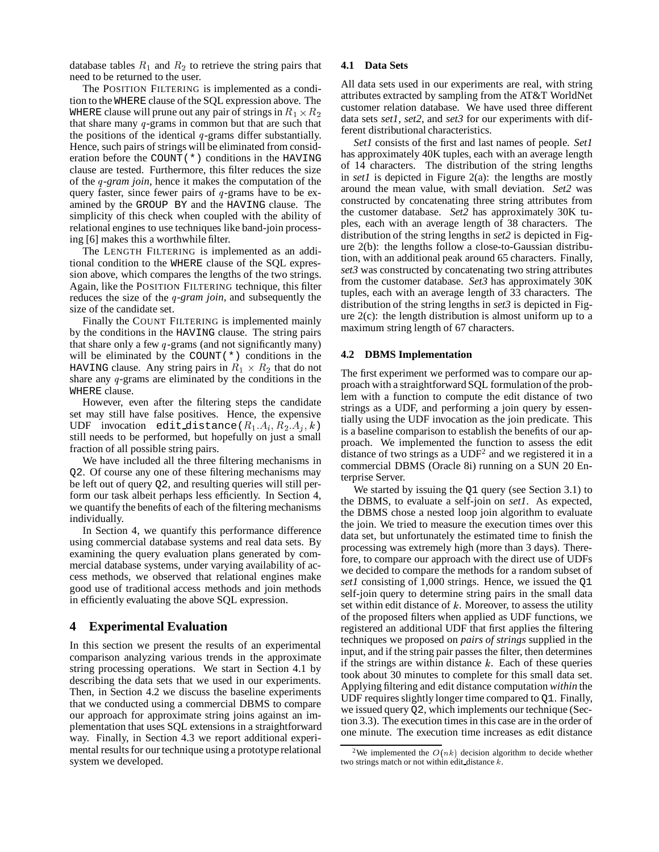database tables  $R_1$  and  $R_2$  to retrieve the string pairs that need to be returned to the user.

The POSITION FILTERING is implemented as a condition to the WHERE clause of the SQL expression above. The WHERE clause will prune out any pair of strings in  $R_1 \times R_2$  customer in that share many  $q$ -grams in common but that are such that the positions of the identical  $q$ -grams differ substantially. Hence, such pairs of strings will be eliminated from consideration before the COUNT $(*)$  conditions in the HAVING clause are tested. Furthermore, this filter reduces the size of the *-gram join*, hence it makes the computation of the query faster, since fewer pairs of  $q$ -grams have to be examined by the GROUP BY and the HAVING clause. The simplicity of this check when coupled with the ability of relational engines to use techniques like band-join processing [6] makes this a worthwhile filter.

The LENGTH FILTERING is implemented as an additional condition to the WHERE clause of the SQL expression above, which compares the lengths of the two strings. Again, like the POSITION FILTERING technique, this filter reduces the size of the *q*-gram *join*, and subsequently the size of the candidate set.

Finally the COUNT FILTERING is implemented mainly by the conditions in the HAVING clause. The string pairs that share only a few  $q$ -grams (and not significantly many) will be eliminated by the COUNT $(*)$  conditions in the HAVING clause. Any string pairs in  $R_1 \times R_2$  that do not share any  $q$ -grams are eliminated by the conditions in the WHERE clause.

However, even after the filtering steps the candidate set may still have false positives. Hence, the expensive UDF invocation edit distance  $(R_1, A_i, R_2, A_j, k)$ still needs to be performed, but hopefully on just a small fraction of all possible string pairs.

We have included all the three filtering mechanisms in Q2. Of course any one of these filtering mechanisms may be left out of query Q2, and resulting queries will still perform our task albeit perhaps less efficiently. In Section 4, we quantify the benefits of each of the filtering mechanisms individually.

In Section 4, we quantify this performance difference using commercial database systems and real data sets. By examining the query evaluation plans generated by commercial database systems, under varying availability of access methods, we observed that relational engines make good use of traditional access methods and join methods in efficiently evaluating the above SQL expression.

# **4 Experimental Evaluation**

In this section we present the results of an experimental comparison analyzing various trends in the approximate string processing operations. We start in Section 4.1 by describing the data sets that we used in our experiments. Then, in Section 4.2 we discuss the baseline experiments that we conducted using a commercial DBMS to compare our approach for approximate string joins against an implementation that uses SQL extensions in a straightforward way. Finally, in Section 4.3 we report additional experimental results for our technique using a prototype relational system we developed.

### **4.1 Data Sets**

 $\frac{3}{1}$  data sets *set1*, *set2*, and *set3* for our experiments with dif-All data sets used in our experiments are real, with string attributes extracted by sampling from the AT&T WorldNet customer relation database. We have used three different ferent distributional characteristics.

*Set1* consists of the first and last names of people. *Set1* has approximately 40K tuples, each with an average length of 14 characters. The distribution of the string lengths in *set1* is depicted in Figure 2(a): the lengths are mostly around the mean value, with small deviation. *Set2* was constructed by concatenating three string attributes from the customer database. *Set2* has approximately 30K tuples, each with an average length of 38 characters. The distribution of the string lengths in *set2* is depicted in Figure 2(b): the lengths follow a close-to-Gaussian distribution, with an additional peak around 65 characters. Finally, *set3* was constructed by concatenating two string attributes from the customer database. *Set3* has approximately 30K tuples, each with an average length of 33 characters. The distribution of the string lengths in *set3* is depicted in Figure  $2(c)$ : the length distribution is almost uniform up to a maximum string length of 67 characters.

#### **4.2 DBMS Implementation**

is a baseline comparison to establish the benefits of our ap-The first experiment we performed was to compare our approach with a straightforward SQL formulation of the problem with a function to compute the edit distance of two strings as a UDF, and performing a join query by essentially using the UDF invocation as the join predicate. This proach. We implemented the function to assess the edit distance of two strings as a  $UDF<sup>2</sup>$  and we registered it in a commercial DBMS (Oracle 8i) running on a SUN 20 Enterprise Server.

We started by issuing the Q1 query (see Section 3.1) to the DBMS, to evaluate a self-join on *set1*. As expected, the DBMS chose a nested loop join algorithm to evaluate the join. We tried to measure the execution times over this data set, but unfortunately the estimated time to finish the processing was extremely high (more than 3 days). Therefore, to compare our approach with the direct use of UDFs we decided to compare the methods for a random subset of *set1* consisting of 1,000 strings. Hence, we issued the Q1 self-join query to determine string pairs in the small data set within edit distance of  $k$ . Moreover, to assess the utility of the proposed filters when applied as UDF functions, we registered an additional UDF that first applies the filtering techniques we proposed on *pairs of strings* supplied in the input, and if the string pair passes the filter, then determines if the strings are within distance  $k$ . Each of these queries took about 30 minutes to complete for this small data set. Applying filtering and edit distance computation *within* the UDF requires slightly longer time compared to  $Q1$ . Finally, we issued query Q2, which implements our technique (Section 3.3). The execution times in this case are in the order of one minute. The execution time increases as edit distance

<sup>&</sup>lt;sup>2</sup>We implemented the  $O(nk)$  decision algorithm to decide whether two strings match or not within edit distance  $k$ .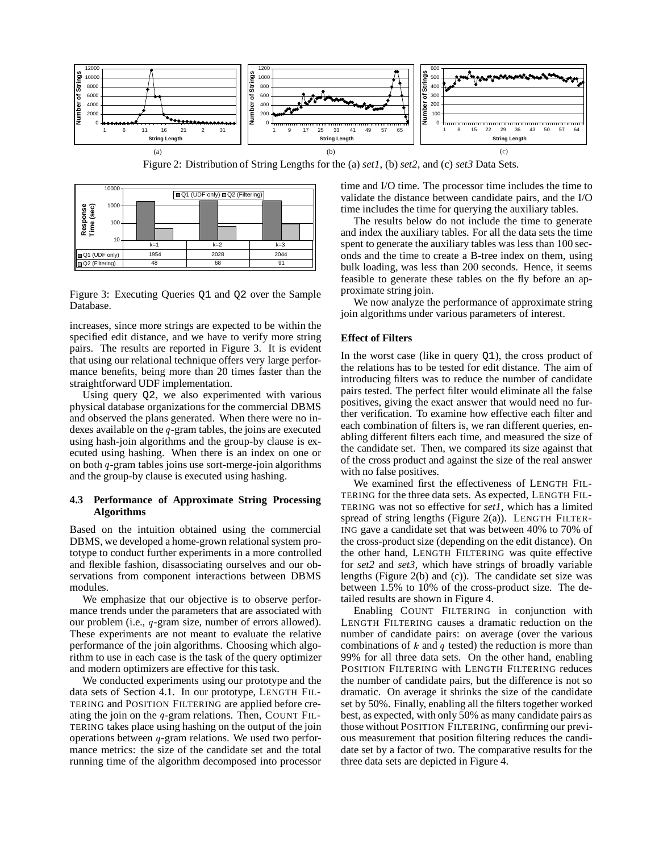

Figure 2: Distribution of String Lengths for the (a) *set1*, (b) *set2*, and (c) *set3* Data Sets.



Figure 3: Executing Queries Q1 and Q2 over the Sample Database.

increases, since more strings are expected to be within the specified edit distance, and we have to verify more string pairs. The results are reported in Figure 3. It is evident that using our relational technique offers very large performance benefits, being more than 20 times faster than the straightforward UDF implementation.

Using query Q2, we also experimented with various physical database organizations for the commercial DBMS and observed the plans generated. When there were no indexes available on the  $q$ -gram tables, the joins are executed using hash-join algorithms and the group-by clause is executed using hashing. When there is an index on one or on both  $q$ -gram tables joins use sort-merge-join algorithms and the group-by clause is executed using hashing.

# **4.3 Performance of Approximate String Processing Algorithms**

Based on the intuition obtained using the commercial DBMS, we developed a home-grown relational system prototype to conduct further experiments in a more controlled and flexible fashion, disassociating ourselves and our observations from component interactions between DBMS modules.

We emphasize that our objective is to observe performance trends under the parameters that are associated with our problem (i.e., q-gram size, number of errors allowed). These experiments are not meant to evaluate the relative performance of the join algorithms. Choosing which algorithm to use in each case is the task of the query optimizer and modern optimizers are effective for this task.

We conducted experiments using our prototype and the data sets of Section 4.1. In our prototype, LENGTH FIL-TERING and POSITION FILTERING are applied before creating the join on the  $q$ -gram relations. Then, COUNT FIL-TERING takes place using hashing on the output of the join operations between  $q$ -gram relations. We used two performance metrics: the size of the candidate set and the total running time of the algorithm decomposed into processor

time and I/O time. The processor time includes the time to validate the distance between candidate pairs, and the I/O time includes the time for querying the auxiliary tables.

The results below do not include the time to generate and index the auxiliary tables. For all the data sets the time spent to generate the auxiliary tables was less than 100 seconds and the time to create a B-tree index on them, using bulk loading, was less than 200 seconds. Hence, it seems feasible to generate these tables on the fly before an approximate string join.

We now analyze the performance of approximate string join algorithms under various parameters of interest.

#### **Effect of Filters**

In the worst case (like in query Q1), the cross product of the relations has to be tested for edit distance. The aim of introducing filters was to reduce the number of candidate pairs tested. The perfect filter would eliminate all the false positives, giving the exact answer that would need no further verification. To examine how effective each filter and each combination of filters is, we ran different queries, enabling different filters each time, and measured the size of the candidate set. Then, we compared its size against that of the cross product and against the size of the real answer with no false positives.

We examined first the effectiveness of LENGTH FIL-TERING for the three data sets. As expected, LENGTH FIL-TERING was not so effective for  $set\bar{I}$ , which has a limited spread of string lengths (Figure 2(a)). LENGTH FILTER-ING gave a candidate set that was between 40% to 70% of the cross-product size (depending on the edit distance). On the other hand, LENGTH FILTERING was quite effective for *set2* and *set3*, which have strings of broadly variable lengths (Figure 2(b) and (c)). The candidate set size was between 1.5% to 10% of the cross-product size. The detailed results are shown in Figure 4.

Enabling COUNT FILTERING in conjunction with LENGTH FILTERING causes a dramatic reduction on the number of candidate pairs: on average (over the various combinations of  $k$  and  $q$  tested) the reduction is more than 99% for all three data sets. On the other hand, enabling POSITION FILTERING with LENGTH FILTERING reduces the number of candidate pairs, but the difference is not so dramatic. On average it shrinks the size of the candidate set by 50%. Finally, enabling all the filters together worked best, as expected, with only 50% as many candidate pairs as those without POSITION FILTERING, confirming our previous measurement that position filtering reduces the candidate set by a factor of two. The comparative results for the three data sets are depicted in Figure 4.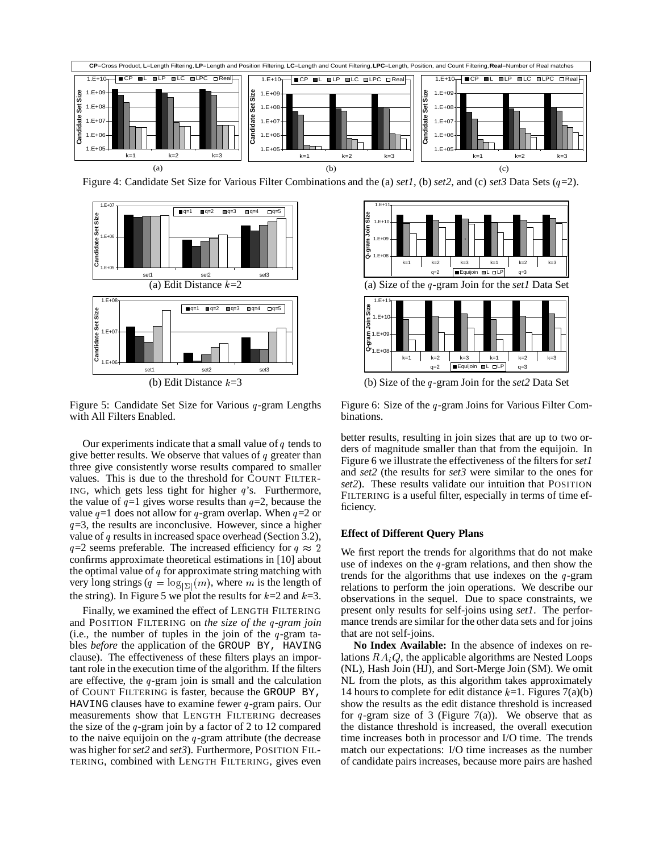

Figure 4: Candidate Set Size for Various Filter Combinations and the (a) *set1*, (b) *set2*, and (c) *set3* Data Sets ( =2).



Figure 5: Candidate Set Size for Various  $q$ -gram Lengths with All Filters Enabled.

Our experiments indicate that a small value of  $q$  tends to give better results. We observe that values of  $q$  greater than three give consistently worse results compared to smaller values. This is due to the threshold for COUNT FILTER-ING, which gets less tight for higher  $q$ 's. Furthermore, the value of  $q=1$  gives worse results than  $q=2$ , because the value  $q=1$  does not allow for q-gram overlap. When  $q=2$  or  $q=3$ , the results are inconclusive. However, since a higher value of  $q$  results in increased space overhead (Section 3.2),  $q=2$  seems preferable. The increased efficiency for  $q \approx 2$  We first confirms approximate theoretical estimations in [10] about the optimal value of  $q$  for approximate string matching with very long strings ( $q = log_{|\Sigma|}(m)$ , where m is the length of the string). In Figure 5 we plot the results for  $k=2$  and  $k=3$ .

Finally, we examined the effect of LENGTH FILTERING and POSITION FILTERING on *the size of the -gram join* (i.e., the number of tuples in the join of the  $q$ -gram tables *before* the application of the GROUP BY, HAVING clause). The effectiveness of these filters plays an important role in the execution time of the algorithm. If the filters are effective, the  $q$ -gram join is small and the calculation of COUNT FILTERING is faster, because the GROUP BY, HAVING clauses have to examine fewer  $q$ -gram pairs. Our measurements show that LENGTH FILTERING decreases the size of the  $q$ -gram join by a factor of 2 to 12 compared to the naive equijoin on the  $q$ -gram attribute (the decrease was higher for *set2* and *set3*). Furthermore, POSITION FIL-TERING, combined with LENGTH FILTERING, gives even



(b) Size of the -gram Join for the *set2* Data Set

Figure 6: Size of the  $q$ -gram Joins for Various Filter Combinations.

better results, resulting in join sizes that are up to two orders of magnitude smaller than that from the equijoin. In Figure 6 we illustrate the effectiveness of the filters for *set1* and *set2* (the results for *set3* were similar to the ones for *set2*). These results validate our intuition that POSITION FILTERING is a useful filter, especially in terms of time efficiency.

### **Effect of Different Query Plans**

 $\frac{2}{1}$  We first report the trends for algorithms that do not make use of indexes on the  $q$ -gram relations, and then show the trends for the algorithms that use indexes on the  $q$ -gram relations to perform the join operations. We describe our observations in the sequel. Due to space constraints, we present only results for self-joins using *set1*. The performance trends are similar for the other data sets and for joins that are not self-joins.

**No Index Available:** In the absence of indexes on relations  $RA_iQ$ , the applicable algorithms are Nested Loops (NL), Hash Join (HJ), and Sort-Merge Join (SM). We omit NL from the plots, as this algorithm takes approximately 14 hours to complete for edit distance  $k=1$ . Figures 7(a)(b) show the results as the edit distance threshold is increased for  $q$ -gram size of 3 (Figure 7(a)). We observe that as the distance threshold is increased, the overall execution time increases both in processor and I/O time. The trends match our expectations: I/O time increases as the number of candidate pairs increases, because more pairs are hashed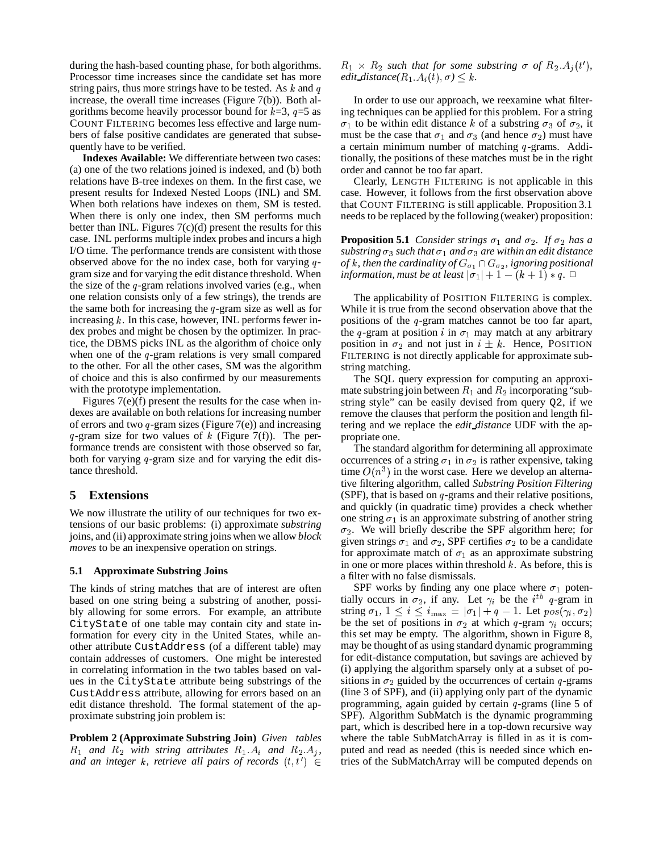during the hash-based counting phase, for both algorithms. Processor time increases since the candidate set has more string pairs, thus more strings have to be tested. As  $k$  and  $q$ increase, the overall time increases (Figure 7(b)). Both algorithms become heavily processor bound for  $k=3$ ,  $q=5$  as COUNT FILTERING becomes less effective and large numbers of false positive candidates are generated that subsequently have to be verified.

**Indexes Available:** We differentiate between two cases: (a) one of the two relations joined is indexed, and (b) both relations have B-tree indexes on them. In the first case, we present results for Indexed Nested Loops (INL) and SM. When both relations have indexes on them, SM is tested. When there is only one index, then SM performs much better than INL. Figures  $7(c)(d)$  present the results for this case. INL performs multiple index probes and incurs a high I/O time. The performance trends are consistent with those observed above for the no index case, both for varying  $q - of$ gram size and for varying the edit distance threshold. When the size of the  $q$ -gram relations involved varies (e.g., when one relation consists only of a few strings), the trends are the same both for increasing the  $q$ -gram size as well as for increasing  $k$ . In this case, however, INL performs fewer index probes and might be chosen by the optimizer. In practice, the DBMS picks INL as the algorithm of choice only when one of the  $q$ -gram relations is very small compared to the other. For all the other cases, SM was the algorithm of choice and this is also confirmed by our measurements with the prototype implementation.

Figures 7(e)(f) present the results for the case when indexes are available on both relations for increasing number of errors and two  $q$ -gram sizes (Figure 7(e)) and increasing q-gram size for two values of  $k$  (Figure 7(f)). The performance trends are consistent with those observed so far, both for varying  $q$ -gram size and for varying the edit distance threshold.

# **5 Extensions**

We now illustrate the utility of our techniques for two extensions of our basic problems: (i) approximate *substring* joins, and (ii) approximate string joins when we allow *block moves* to be an inexpensive operation on strings.

### **5.1 Approximate Substring Joins**

The kinds of string matches that are of interest are often based on one string being a substring of another, possibly allowing for some errors. For example, an attribute CityState of one table may contain city and state information for every city in the United States, while another attribute CustAddress (of a different table) may contain addresses of customers. One might be interested in correlating information in the two tables based on values in the CityState attribute being substrings of the CustAddress attribute, allowing for errors based on an edit distance threshold. The formal statement of the approximate substring join problem is:

**Problem 2 (Approximate Substring Join)** *Given tables*  $R_1$  *and*  $R_2$  *with string attributes*  $R_1.A_i$  *and*  $R_2.A_j$ , puted *and an integer k, retrieve all pairs of records*  $(t, t')$ 

 $R_1 \times R_2$  such that for some substring  $\sigma$  of  $R_2.A_i(t')$ , *edit\_distance*( $R_1$ ,  $A_i(t)$ ,  $\sigma$ )  $\leq k$ .

In order to use our approach, we reexamine what filtering techniques can be applied for this problem. For a string  $\sigma_1$  to be within edit distance k of a substring  $\sigma_3$  of  $\sigma_2$ , it must be the case that  $\sigma_1$  and  $\sigma_3$  (and hence  $\sigma_2$ ) must have a certain minimum number of matching  $q$ -grams. Additionally, the positions of these matches must be in the right order and cannot be too far apart.

Clearly, LENGTH FILTERING is not applicable in this case. However, it follows from the first observation above that COUNT FILTERING is still applicable. Proposition 3.1 needs to be replaced by the following (weaker) proposition:

**Proposition 5.1** *Consider strings*  $\sigma_1$  *and*  $\sigma_2$ *. If*  $\sigma_2$  *has a*  $substring \sigma_3$  such that  $\sigma_1$  and  $\sigma_3$  are within an edit distance *of* k, then the cardinality of  $G_{\sigma_1} \cap G_{\sigma_2}$ , ignoring positional *information, must be at least*  $|\sigma_1| + 1 - (k + 1) * q$ .  $\Box$ 

The applicability of POSITION FILTERING is complex. While it is true from the second observation above that the positions of the q-gram matches cannot be too far apart, the q-gram at position i in  $\sigma_1$  may match at any arbitrary position in  $\sigma_2$  and not just in  $i \pm k$ . Hence, POSITION FILTERING is not directly applicable for approximate substring matching.

The SQL query expression for computing an approximate substring join between  $R_1$  and  $R_2$  incorporating "substring style" can be easily devised from query Q2, if we remove the clauses that perform the position and length filtering and we replace the *edit distance* UDF with the appropriate one.

The standard algorithm for determining all approximate occurrences of a string  $\sigma_1$  in  $\sigma_2$  is rather expensive, taking time  $O(n^3)$  in the wor  $a<sup>3</sup>$ ) in the worst case. Here we develop an alternative filtering algorithm, called *Substring Position Filtering* (SPF), that is based on  $q$ -grams and their relative positions, and quickly (in quadratic time) provides a check whether one string  $\sigma_1$  is an approximate substring of another string  $\sigma_2$ . We will briefly describe the SPF algorithm here; for given strings  $\sigma_1$  and  $\sigma_2$ , SPF certifies  $\sigma_2$  to be a candidate for approximate match of  $\sigma_1$  as an approximate substring in one or more places within threshold  $k$ . As before, this is a filter with no false dismissals.

 $t$   $\in$  tries of the SubMatchArray will be computed depends on SPF works by finding any one place where  $\sigma_1$  potentially occurs in  $\sigma_2$ , if any. Let  $\gamma_i$  be the  $i^{th}$  q-gram in string  $\sigma_1, 1 \leq i \leq i_{\max} = |\sigma_1| + q - 1$ . Let  $pos(\gamma_i, \sigma_2)$ be the set of positions in  $\sigma_2$  at which q-gram  $\gamma_i$  occurs; this set may be empty. The algorithm, shown in Figure 8, may be thought of as using standard dynamic programming for edit-distance computation, but savings are achieved by (i) applying the algorithm sparsely only at a subset of positions in  $\sigma_2$  guided by the occurrences of certain q-grams (line 3 of SPF), and (ii) applying only part of the dynamic programming, again guided by certain  $q$ -grams (line 5 of SPF). Algorithm SubMatch is the dynamic programming part, which is described here in a top-down recursive way where the table SubMatchArray is filled in as it is computed and read as needed (this is needed since which en-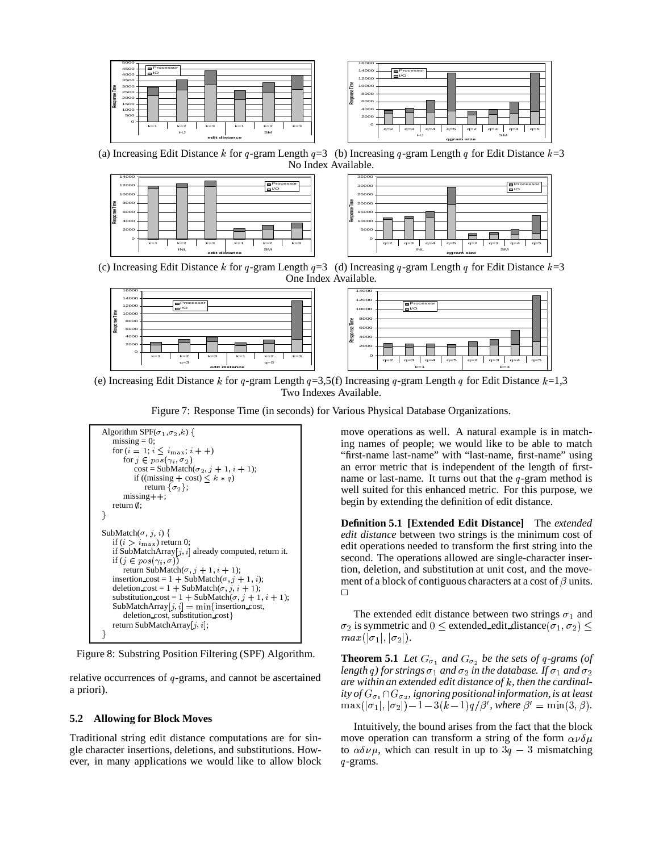



(a) Increasing Edit Distance k for q-gram Length  $q=3$  (b) Increasing q-gram Length q for Edit Distance  $k=3$ No Index Available.





(c) Increasing Edit Distance k for q-gram Length  $q=3$  (d) Increasing q-gram Length q for Edit Distance  $k=3$ One Index Available.



(e) Increasing Edit Distance k for q-gram Length  $q=3.5(f)$  Increasing q-gram Length q for Edit Distance  $k=1,3$ Two Indexes Available.

Figure 7: Response Time (in seconds) for Various Physical Database Organizations.



Figure 8: Substring Position Filtering (SPF) Algorithm.

relative occurrences of  $q$ -grams, and cannot be ascertained a priori).

### **5.2 Allowing for Block Moves**

Traditional string edit distance computations are for single character insertions, deletions, and substitutions. However, in many applications we would like to allow block move operations as well. A natural example is in matching names of people; we would like to be able to match "first-name last-name" with "last-name, first-name" using an error metric that is independent of the length of firstname or last-name. It turns out that the  $q$ -gram method is well suited for this enhanced metric. For this purpose, we begin by extending the definition of edit distance.

**Definition 5.1 [Extended Edit Distance]** The *extended edit distance* between two strings is the minimum cost of edit operations needed to transform the first string into the second. The operations allowed are single-character insertion, deletion, and substitution at unit cost, and the movement of a block of contiguous characters at a cost of  $\beta$  units.  $\Box$ 

The extended edit distance between two strings  $\sigma_1$  and  $\sigma_2$  is symmetric and  $0 \leq$  extended edit distance  $(\sigma_1, \sigma_2) \leq$  $max(|\sigma_1|, |\sigma_2|).$ 

**Theorem 5.1** *Let*  $G_{\sigma_1}$  *and*  $G_{\sigma_2}$  *be the sets of q-grams (of* length  $q$  ) for strings  $\sigma_1$  and  $\sigma_2$  in the database. If  $\sigma_1$  and  $\sigma_2$ *are within an extended edit distance of* - *, then the cardinality* of  $G_{\sigma_1} \cap G_{\sigma_2}$ , *ignoring positional information, is at least*  $\max(|\sigma_1|,|\sigma_2|)-1-3(k-1)q/\beta'$ , where  $\beta'=\min(3,\beta)$ .

Intuitively, the bound arises from the fact that the block move operation can transform a string of the form  $\alpha \nu \delta \mu$ to  $\alpha \delta \nu \mu$ , which can result in up to  $3q - 3$  mismatching -grams.